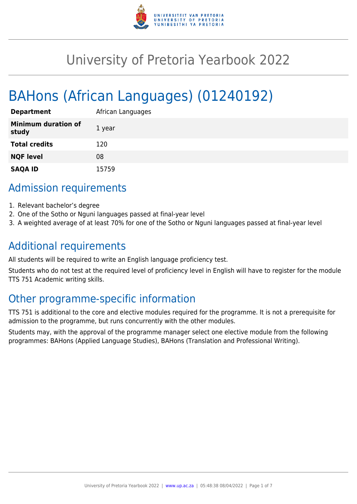

# University of Pretoria Yearbook 2022

# BAHons (African Languages) (01240192)

| <b>Department</b>                   | African Languages |
|-------------------------------------|-------------------|
| <b>Minimum duration of</b><br>study | 1 year            |
| <b>Total credits</b>                | 120               |
| <b>NQF level</b>                    | 08                |
| <b>SAQA ID</b>                      | 15759             |

## Admission requirements

- 1. Relevant bachelor's degree
- 2. One of the Sotho or Nguni languages passed at final-year level
- 3. A weighted average of at least 70% for one of the Sotho or Nguni languages passed at final-year level

# Additional requirements

All students will be required to write an English language proficiency test.

Students who do not test at the required level of proficiency level in English will have to register for the module TTS 751 Academic writing skills.

# Other programme-specific information

TTS 751 is additional to the core and elective modules required for the programme. It is not a prerequisite for admission to the programme, but runs concurrently with the other modules.

Students may, with the approval of the programme manager select one elective module from the following programmes: BAHons (Applied Language Studies), BAHons (Translation and Professional Writing).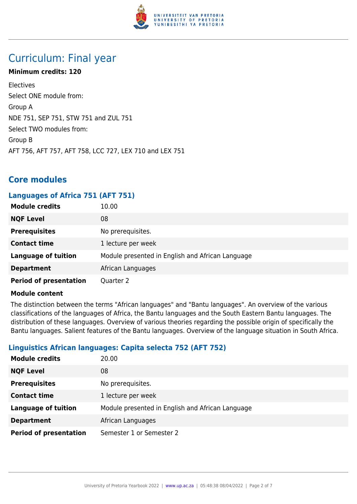

# Curriculum: Final year

#### **Minimum credits: 120**

Electives Select ONE module from: Group A NDE 751, SEP 751, STW 751 and ZUL 751 Select TWO modules from: Group B AFT 756, AFT 757, AFT 758, LCC 727, LEX 710 and LEX 751

## **Core modules**

#### **Languages of Africa 751 (AFT 751)**

| <b>Module credits</b>         | 10.00                                            |
|-------------------------------|--------------------------------------------------|
| <b>NQF Level</b>              | 08                                               |
| <b>Prerequisites</b>          | No prerequisites.                                |
| <b>Contact time</b>           | 1 lecture per week                               |
| <b>Language of tuition</b>    | Module presented in English and African Language |
| <b>Department</b>             | African Languages                                |
| <b>Period of presentation</b> | Quarter 2                                        |

#### **Module content**

The distinction between the terms "African languages" and "Bantu languages". An overview of the various classifications of the languages of Africa, the Bantu languages and the South Eastern Bantu languages. The distribution of these languages. Overview of various theories regarding the possible origin of specifically the Bantu languages. Salient features of the Bantu languages. Overview of the language situation in South Africa.

#### **Linguistics African languages: Capita selecta 752 (AFT 752)**

| <b>Module credits</b>         | 20.00                                            |
|-------------------------------|--------------------------------------------------|
| <b>NQF Level</b>              | 08                                               |
| <b>Prerequisites</b>          | No prerequisites.                                |
| <b>Contact time</b>           | 1 lecture per week                               |
| <b>Language of tuition</b>    | Module presented in English and African Language |
| <b>Department</b>             | African Languages                                |
| <b>Period of presentation</b> | Semester 1 or Semester 2                         |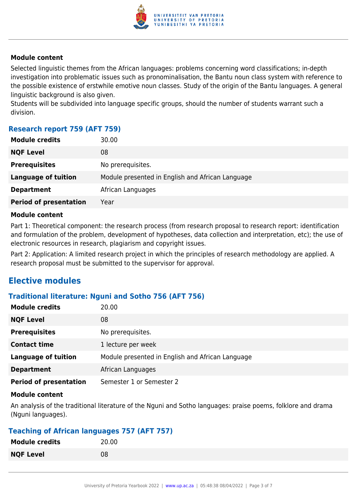

Selected linguistic themes from the African languages: problems concerning word classifications; in-depth investigation into problematic issues such as pronominalisation, the Bantu noun class system with reference to the possible existence of erstwhile emotive noun classes. Study of the origin of the Bantu languages. A general linguistic background is also given.

Students will be subdivided into language specific groups, should the number of students warrant such a division.

#### **Research report 759 (AFT 759)**

| <b>Module credits</b>         | 30.00                                            |
|-------------------------------|--------------------------------------------------|
| <b>NQF Level</b>              | 08                                               |
| <b>Prerequisites</b>          | No prerequisites.                                |
| <b>Language of tuition</b>    | Module presented in English and African Language |
| <b>Department</b>             | African Languages                                |
| <b>Period of presentation</b> | Year                                             |
|                               |                                                  |

#### **Module content**

Part 1: Theoretical component: the research process (from research proposal to research report: identification and formulation of the problem, development of hypotheses, data collection and interpretation, etc); the use of electronic resources in research, plagiarism and copyright issues.

Part 2: Application: A limited research project in which the principles of research methodology are applied. A research proposal must be submitted to the supervisor for approval.

## **Elective modules**

#### **Traditional literature: Nguni and Sotho 756 (AFT 756)**

| <b>Module credits</b>         | 20.00                                            |
|-------------------------------|--------------------------------------------------|
| <b>NQF Level</b>              | 08                                               |
| <b>Prerequisites</b>          | No prerequisites.                                |
| <b>Contact time</b>           | 1 lecture per week                               |
| <b>Language of tuition</b>    | Module presented in English and African Language |
| <b>Department</b>             | African Languages                                |
| <b>Period of presentation</b> | Semester 1 or Semester 2                         |

#### **Module content**

An analysis of the traditional literature of the Nguni and Sotho languages: praise poems, folklore and drama (Nguni languages).

#### **Teaching of African languages 757 (AFT 757)**

| <b>Module credits</b> | 20.00 |
|-----------------------|-------|
| <b>NQF Level</b>      | 08    |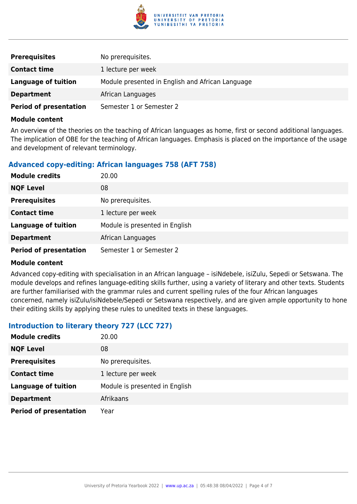

| <b>Prerequisites</b>          | No prerequisites.                                |
|-------------------------------|--------------------------------------------------|
| <b>Contact time</b>           | 1 lecture per week                               |
| Language of tuition           | Module presented in English and African Language |
| <b>Department</b>             | African Languages                                |
| <b>Period of presentation</b> | Semester 1 or Semester 2                         |

An overview of the theories on the teaching of African languages as home, first or second additional languages. The implication of OBE for the teaching of African languages. Emphasis is placed on the importance of the usage and development of relevant terminology.

#### **Advanced copy-editing: African languages 758 (AFT 758)**

| <b>Module credits</b>         | 20.00                          |
|-------------------------------|--------------------------------|
| <b>NQF Level</b>              | 08                             |
| <b>Prerequisites</b>          | No prerequisites.              |
| <b>Contact time</b>           | 1 lecture per week             |
| <b>Language of tuition</b>    | Module is presented in English |
| <b>Department</b>             | African Languages              |
| <b>Period of presentation</b> | Semester 1 or Semester 2       |

#### **Module content**

Advanced copy-editing with specialisation in an African language – isiNdebele, isiZulu, Sepedi or Setswana. The module develops and refines language-editing skills further, using a variety of literary and other texts. Students are further familiarised with the grammar rules and current spelling rules of the four African languages concerned, namely isiZulu/isiNdebele/Sepedi or Setswana respectively, and are given ample opportunity to hone their editing skills by applying these rules to unedited texts in these languages.

#### **Introduction to literary theory 727 (LCC 727)**

| <b>Module credits</b>         | 20.00                          |
|-------------------------------|--------------------------------|
| <b>NQF Level</b>              | 08                             |
| <b>Prerequisites</b>          | No prerequisites.              |
| <b>Contact time</b>           | 1 lecture per week             |
| <b>Language of tuition</b>    | Module is presented in English |
| <b>Department</b>             | Afrikaans                      |
| <b>Period of presentation</b> | Year                           |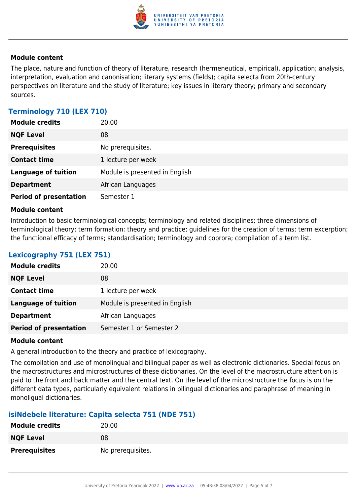

The place, nature and function of theory of literature, research (hermeneutical, empirical), application; analysis, interpretation, evaluation and canonisation; literary systems (fields); capita selecta from 20th-century perspectives on literature and the study of literature; key issues in literary theory; primary and secondary sources.

### **Terminology 710 (LEX 710)**

| <b>Module credits</b>         | 20.00                          |
|-------------------------------|--------------------------------|
| <b>NQF Level</b>              | 08                             |
| <b>Prerequisites</b>          | No prerequisites.              |
| <b>Contact time</b>           | 1 lecture per week             |
| <b>Language of tuition</b>    | Module is presented in English |
| <b>Department</b>             | African Languages              |
| <b>Period of presentation</b> | Semester 1                     |

#### **Module content**

Introduction to basic terminological concepts; terminology and related disciplines; three dimensions of terminological theory; term formation: theory and practice; guidelines for the creation of terms; term excerption; the functional efficacy of terms; standardisation; terminology and coprora; compilation of a term list.

### **Lexicography 751 (LEX 751)**

| <b>Module credits</b>         | 20.00                          |
|-------------------------------|--------------------------------|
| <b>NQF Level</b>              | 08                             |
| <b>Contact time</b>           | 1 lecture per week             |
| <b>Language of tuition</b>    | Module is presented in English |
| <b>Department</b>             | African Languages              |
| <b>Period of presentation</b> | Semester 1 or Semester 2       |

#### **Module content**

A general introduction to the theory and practice of lexicography.

The compilation and use of monolingual and bilingual paper as well as electronic dictionaries. Special focus on the macrostructures and microstructures of these dictionaries. On the level of the macrostructure attention is paid to the front and back matter and the central text. On the level of the microstructure the focus is on the different data types, particularly equivalent relations in bilingual dictionaries and paraphrase of meaning in monoligual dictionaries.

#### **isiNdebele literature: Capita selecta 751 (NDE 751)**

| <b>Module credits</b> | 20.00             |
|-----------------------|-------------------|
| <b>NQF Level</b>      | 08                |
| <b>Prerequisites</b>  | No prerequisites. |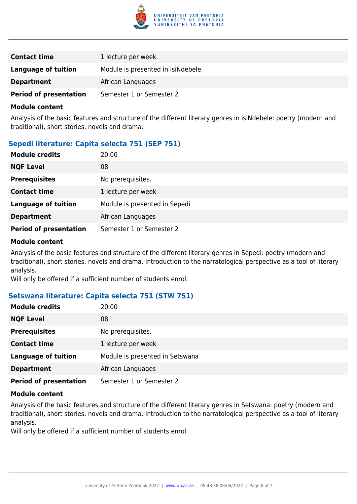

| <b>Contact time</b>           | 1 lecture per week                |
|-------------------------------|-----------------------------------|
| Language of tuition           | Module is presented in IsiNdebele |
| <b>Department</b>             | African Languages                 |
| <b>Period of presentation</b> | Semester 1 or Semester 2          |

Analysis of the basic features and structure of the different literary genres in isiNdebele: poetry (modern and traditional), short stories, novels and drama.

#### **Sepedi literature: Capita selecta 751 (SEP 751)**

| <b>Module credits</b>         | 20.00                         |
|-------------------------------|-------------------------------|
| <b>NQF Level</b>              | 08                            |
| <b>Prerequisites</b>          | No prerequisites.             |
| <b>Contact time</b>           | 1 lecture per week            |
| <b>Language of tuition</b>    | Module is presented in Sepedi |
| <b>Department</b>             | African Languages             |
| <b>Period of presentation</b> | Semester 1 or Semester 2      |

#### **Module content**

Analysis of the basic features and structure of the different literary genres in Sepedi: poetry (modern and traditional), short stories, novels and drama. Introduction to the narratological perspective as a tool of literary analysis.

Will only be offered if a sufficient number of students enrol.

#### **Setswana literature: Capita selecta 751 (STW 751)**

| <b>Module credits</b>         | 20.00                           |
|-------------------------------|---------------------------------|
| <b>NQF Level</b>              | 08                              |
| <b>Prerequisites</b>          | No prerequisites.               |
| <b>Contact time</b>           | 1 lecture per week              |
| <b>Language of tuition</b>    | Module is presented in Setswana |
| <b>Department</b>             | African Languages               |
| <b>Period of presentation</b> | Semester 1 or Semester 2        |

#### **Module content**

Analysis of the basic features and structure of the different literary genres in Setswana: poetry (modern and traditional), short stories, novels and drama. Introduction to the narratological perspective as a tool of literary analysis.

Will only be offered if a sufficient number of students enrol.